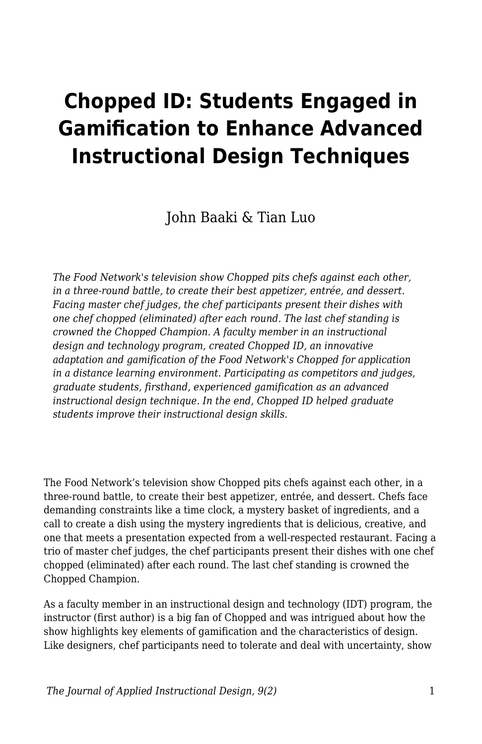# **Chopped ID: Students Engaged in Gamification to Enhance Advanced Instructional Design Techniques**

John Baaki & Tian Luo

*The Food Network's television show Chopped pits chefs against each other, in a three-round battle, to create their best appetizer, entrée, and dessert. Facing master chef judges, the chef participants present their dishes with one chef chopped (eliminated) after each round. The last chef standing is crowned the Chopped Champion. A faculty member in an instructional design and technology program, created Chopped ID, an innovative adaptation and gamification of the Food Network's Chopped for application in a distance learning environment. Participating as competitors and judges, graduate students, firsthand, experienced gamification as an advanced instructional design technique. In the end, Chopped ID helped graduate students improve their instructional design skills.*

The Food Network's television show Chopped pits chefs against each other, in a three-round battle, to create their best appetizer, entrée, and dessert. Chefs face demanding constraints like a time clock, a mystery basket of ingredients, and a call to create a dish using the mystery ingredients that is delicious, creative, and one that meets a presentation expected from a well-respected restaurant. Facing a trio of master chef judges, the chef participants present their dishes with one chef chopped (eliminated) after each round. The last chef standing is crowned the Chopped Champion.

As a faculty member in an instructional design and technology (IDT) program, the instructor (first author) is a big fan of Chopped and was intrigued about how the show highlights key elements of gamification and the characteristics of design. Like designers, chef participants need to tolerate and deal with uncertainty, show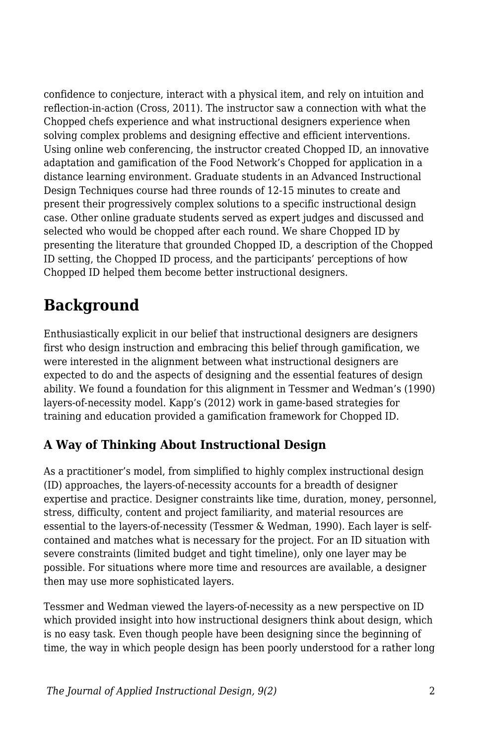confidence to conjecture, interact with a physical item, and rely on intuition and reflection-in-action (Cross, 2011). The instructor saw a connection with what the Chopped chefs experience and what instructional designers experience when solving complex problems and designing effective and efficient interventions. Using online web conferencing, the instructor created Chopped ID, an innovative adaptation and gamification of the Food Network's Chopped for application in a distance learning environment. Graduate students in an Advanced Instructional Design Techniques course had three rounds of 12-15 minutes to create and present their progressively complex solutions to a specific instructional design case. Other online graduate students served as expert judges and discussed and selected who would be chopped after each round. We share Chopped ID by presenting the literature that grounded Chopped ID, a description of the Chopped ID setting, the Chopped ID process, and the participants' perceptions of how Chopped ID helped them become better instructional designers.

## **Background**

Enthusiastically explicit in our belief that instructional designers are designers first who design instruction and embracing this belief through gamification, we were interested in the alignment between what instructional designers are expected to do and the aspects of designing and the essential features of design ability. We found a foundation for this alignment in Tessmer and Wedman's (1990) layers-of-necessity model. Kapp's (2012) work in game-based strategies for training and education provided a gamification framework for Chopped ID.

### **A Way of Thinking About Instructional Design**

As a practitioner's model, from simplified to highly complex instructional design (ID) approaches, the layers-of-necessity accounts for a breadth of designer expertise and practice. Designer constraints like time, duration, money, personnel, stress, difficulty, content and project familiarity, and material resources are essential to the layers-of-necessity (Tessmer & Wedman, 1990). Each layer is selfcontained and matches what is necessary for the project. For an ID situation with severe constraints (limited budget and tight timeline), only one layer may be possible. For situations where more time and resources are available, a designer then may use more sophisticated layers.

Tessmer and Wedman viewed the layers-of-necessity as a new perspective on ID which provided insight into how instructional designers think about design, which is no easy task. Even though people have been designing since the beginning of time, the way in which people design has been poorly understood for a rather long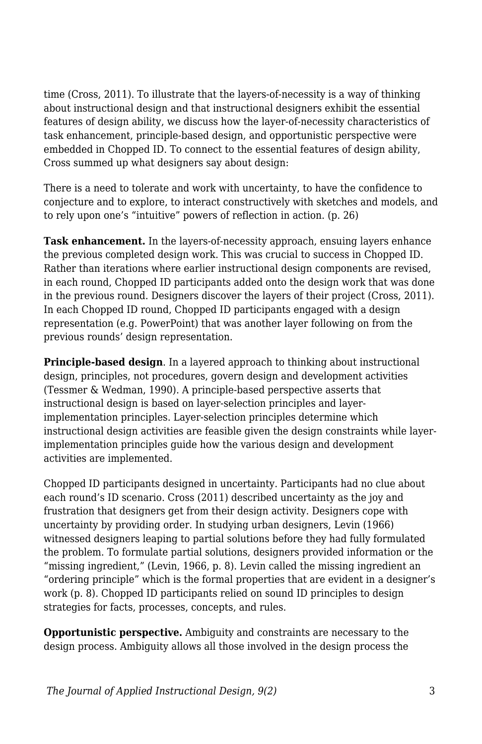time (Cross, 2011). To illustrate that the layers-of-necessity is a way of thinking about instructional design and that instructional designers exhibit the essential features of design ability, we discuss how the layer-of-necessity characteristics of task enhancement, principle-based design, and opportunistic perspective were embedded in Chopped ID. To connect to the essential features of design ability, Cross summed up what designers say about design:

There is a need to tolerate and work with uncertainty, to have the confidence to conjecture and to explore, to interact constructively with sketches and models, and to rely upon one's "intuitive" powers of reflection in action. (p. 26)

**Task enhancement.** In the layers-of-necessity approach, ensuing layers enhance the previous completed design work. This was crucial to success in Chopped ID. Rather than iterations where earlier instructional design components are revised, in each round, Chopped ID participants added onto the design work that was done in the previous round. Designers discover the layers of their project (Cross, 2011). In each Chopped ID round, Chopped ID participants engaged with a design representation (e.g. PowerPoint) that was another layer following on from the previous rounds' design representation.

**Principle-based design**. In a layered approach to thinking about instructional design, principles, not procedures, govern design and development activities (Tessmer & Wedman, 1990). A principle-based perspective asserts that instructional design is based on layer-selection principles and layerimplementation principles. Layer-selection principles determine which instructional design activities are feasible given the design constraints while layerimplementation principles guide how the various design and development activities are implemented.

Chopped ID participants designed in uncertainty. Participants had no clue about each round's ID scenario. Cross (2011) described uncertainty as the joy and frustration that designers get from their design activity. Designers cope with uncertainty by providing order. In studying urban designers, Levin (1966) witnessed designers leaping to partial solutions before they had fully formulated the problem. To formulate partial solutions, designers provided information or the "missing ingredient," (Levin, 1966, p. 8). Levin called the missing ingredient an "ordering principle" which is the formal properties that are evident in a designer's work (p. 8). Chopped ID participants relied on sound ID principles to design strategies for facts, processes, concepts, and rules.

**Opportunistic perspective.** Ambiguity and constraints are necessary to the design process. Ambiguity allows all those involved in the design process the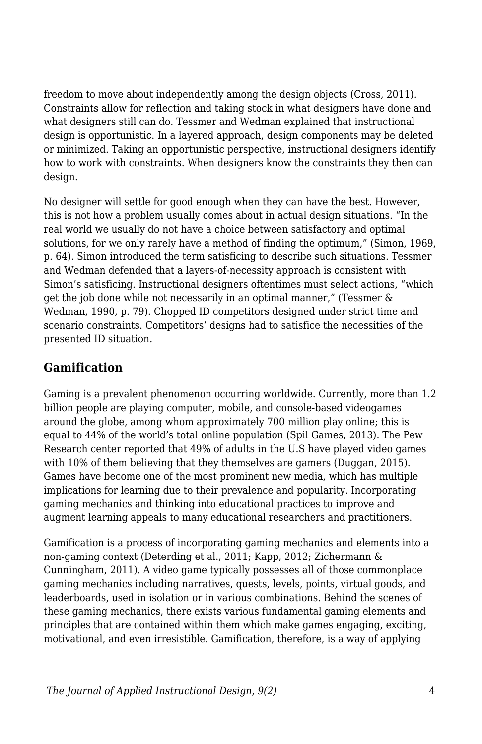freedom to move about independently among the design objects (Cross, 2011). Constraints allow for reflection and taking stock in what designers have done and what designers still can do. Tessmer and Wedman explained that instructional design is opportunistic. In a layered approach, design components may be deleted or minimized. Taking an opportunistic perspective, instructional designers identify how to work with constraints. When designers know the constraints they then can design.

No designer will settle for good enough when they can have the best. However, this is not how a problem usually comes about in actual design situations. "In the real world we usually do not have a choice between satisfactory and optimal solutions, for we only rarely have a method of finding the optimum," (Simon, 1969, p. 64). Simon introduced the term satisficing to describe such situations. Tessmer and Wedman defended that a layers-of-necessity approach is consistent with Simon's satisficing. Instructional designers oftentimes must select actions, "which get the job done while not necessarily in an optimal manner," (Tessmer & Wedman, 1990, p. 79). Chopped ID competitors designed under strict time and scenario constraints. Competitors' designs had to satisfice the necessities of the presented ID situation.

#### **Gamification**

Gaming is a prevalent phenomenon occurring worldwide. Currently, more than 1.2 billion people are playing computer, mobile, and console-based videogames around the globe, among whom approximately 700 million play online; this is equal to 44% of the world's total online population (Spil Games, 2013). The Pew Research center reported that 49% of adults in the U.S have played video games with 10% of them believing that they themselves are gamers (Duggan, 2015). Games have become one of the most prominent new media, which has multiple implications for learning due to their prevalence and popularity. Incorporating gaming mechanics and thinking into educational practices to improve and augment learning appeals to many educational researchers and practitioners.

Gamification is a process of incorporating gaming mechanics and elements into a non-gaming context (Deterding et al., 2011; Kapp, 2012; Zichermann & Cunningham, 2011). A video game typically possesses all of those commonplace gaming mechanics including narratives, quests, levels, points, virtual goods, and leaderboards, used in isolation or in various combinations. Behind the scenes of these gaming mechanics, there exists various fundamental gaming elements and principles that are contained within them which make games engaging, exciting, motivational, and even irresistible. Gamification, therefore, is a way of applying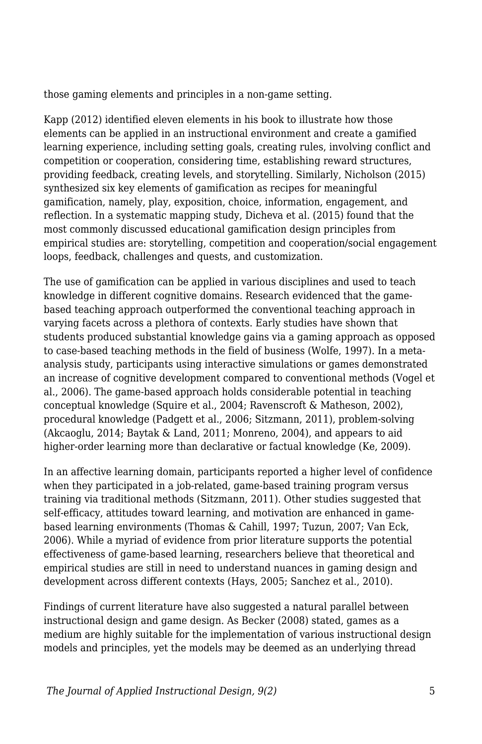those gaming elements and principles in a non-game setting.

Kapp (2012) identified eleven elements in his book to illustrate how those elements can be applied in an instructional environment and create a gamified learning experience, including setting goals, creating rules, involving conflict and competition or cooperation, considering time, establishing reward structures, providing feedback, creating levels, and storytelling. Similarly, Nicholson (2015) synthesized six key elements of gamification as recipes for meaningful gamification, namely, play, exposition, choice, information, engagement, and reflection. In a systematic mapping study, Dicheva et al. (2015) found that the most commonly discussed educational gamification design principles from empirical studies are: storytelling, competition and cooperation/social engagement loops, feedback, challenges and quests, and customization.

The use of gamification can be applied in various disciplines and used to teach knowledge in different cognitive domains. Research evidenced that the gamebased teaching approach outperformed the conventional teaching approach in varying facets across a plethora of contexts. Early studies have shown that students produced substantial knowledge gains via a gaming approach as opposed to case-based teaching methods in the field of business (Wolfe, 1997). In a metaanalysis study, participants using interactive simulations or games demonstrated an increase of cognitive development compared to conventional methods (Vogel et al., 2006). The game-based approach holds considerable potential in teaching conceptual knowledge (Squire et al., 2004; Ravenscroft & Matheson, 2002), procedural knowledge (Padgett et al., 2006; Sitzmann, 2011), problem-solving (Akcaoglu, 2014; Baytak & Land, 2011; Monreno, 2004), and appears to aid higher-order learning more than declarative or factual knowledge (Ke, 2009).

In an affective learning domain, participants reported a higher level of confidence when they participated in a job-related, game-based training program versus training via traditional methods (Sitzmann, 2011). Other studies suggested that self-efficacy, attitudes toward learning, and motivation are enhanced in gamebased learning environments (Thomas & Cahill, 1997; Tuzun, 2007; Van Eck, 2006). While a myriad of evidence from prior literature supports the potential effectiveness of game-based learning, researchers believe that theoretical and empirical studies are still in need to understand nuances in gaming design and development across different contexts (Hays, 2005; Sanchez et al., 2010).

Findings of current literature have also suggested a natural parallel between instructional design and game design. As Becker (2008) stated, games as a medium are highly suitable for the implementation of various instructional design models and principles, yet the models may be deemed as an underlying thread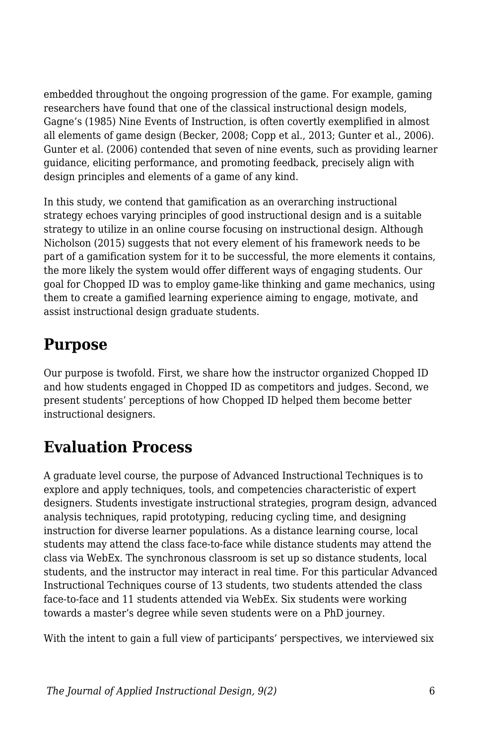embedded throughout the ongoing progression of the game. For example, gaming researchers have found that one of the classical instructional design models, Gagne's (1985) Nine Events of Instruction, is often covertly exemplified in almost all elements of game design (Becker, 2008; Copp et al., 2013; Gunter et al., 2006). Gunter et al. (2006) contended that seven of nine events, such as providing learner guidance, eliciting performance, and promoting feedback, precisely align with design principles and elements of a game of any kind.

In this study, we contend that gamification as an overarching instructional strategy echoes varying principles of good instructional design and is a suitable strategy to utilize in an online course focusing on instructional design. Although Nicholson (2015) suggests that not every element of his framework needs to be part of a gamification system for it to be successful, the more elements it contains, the more likely the system would offer different ways of engaging students. Our goal for Chopped ID was to employ game-like thinking and game mechanics, using them to create a gamified learning experience aiming to engage, motivate, and assist instructional design graduate students.

### **Purpose**

Our purpose is twofold. First, we share how the instructor organized Chopped ID and how students engaged in Chopped ID as competitors and judges. Second, we present students' perceptions of how Chopped ID helped them become better instructional designers.

## **Evaluation Process**

A graduate level course, the purpose of Advanced Instructional Techniques is to explore and apply techniques, tools, and competencies characteristic of expert designers. Students investigate instructional strategies, program design, advanced analysis techniques, rapid prototyping, reducing cycling time, and designing instruction for diverse learner populations. As a distance learning course, local students may attend the class face-to-face while distance students may attend the class via WebEx. The synchronous classroom is set up so distance students, local students, and the instructor may interact in real time. For this particular Advanced Instructional Techniques course of 13 students, two students attended the class face-to-face and 11 students attended via WebEx. Six students were working towards a master's degree while seven students were on a PhD journey.

With the intent to gain a full view of participants' perspectives, we interviewed six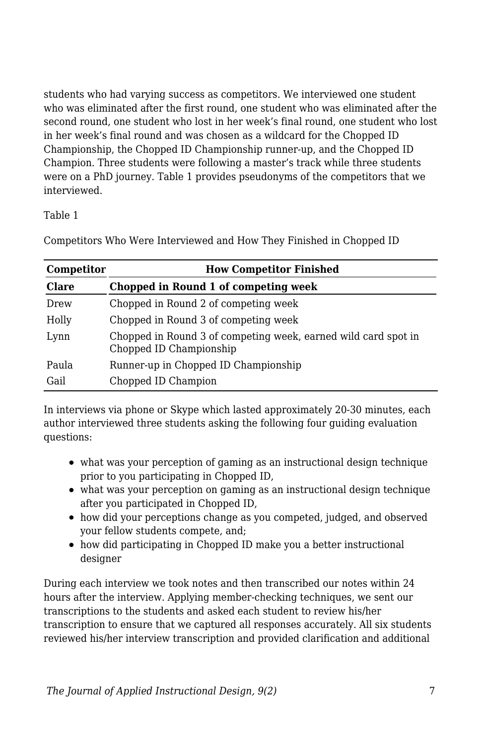students who had varying success as competitors. We interviewed one student who was eliminated after the first round, one student who was eliminated after the second round, one student who lost in her week's final round, one student who lost in her week's final round and was chosen as a wildcard for the Chopped ID Championship, the Chopped ID Championship runner-up, and the Chopped ID Champion. Three students were following a master's track while three students were on a PhD journey. Table 1 provides pseudonyms of the competitors that we interviewed.

#### Table 1

| Competitor   | <b>How Competitor Finished</b>                                                            |  |  |
|--------------|-------------------------------------------------------------------------------------------|--|--|
| <b>Clare</b> | Chopped in Round 1 of competing week                                                      |  |  |
| Drew         | Chopped in Round 2 of competing week                                                      |  |  |
| Holly        | Chopped in Round 3 of competing week                                                      |  |  |
| Lynn         | Chopped in Round 3 of competing week, earned wild card spot in<br>Chopped ID Championship |  |  |
| Paula        | Runner-up in Chopped ID Championship                                                      |  |  |
| Gail         | Chopped ID Champion                                                                       |  |  |

Competitors Who Were Interviewed and How They Finished in Chopped ID

In interviews via phone or Skype which lasted approximately 20-30 minutes, each author interviewed three students asking the following four guiding evaluation questions:

- what was your perception of gaming as an instructional design technique prior to you participating in Chopped ID,
- what was your perception on gaming as an instructional design technique after you participated in Chopped ID,
- how did your perceptions change as you competed, judged, and observed your fellow students compete, and;
- how did participating in Chopped ID make you a better instructional designer

During each interview we took notes and then transcribed our notes within 24 hours after the interview. Applying member-checking techniques, we sent our transcriptions to the students and asked each student to review his/her transcription to ensure that we captured all responses accurately. All six students reviewed his/her interview transcription and provided clarification and additional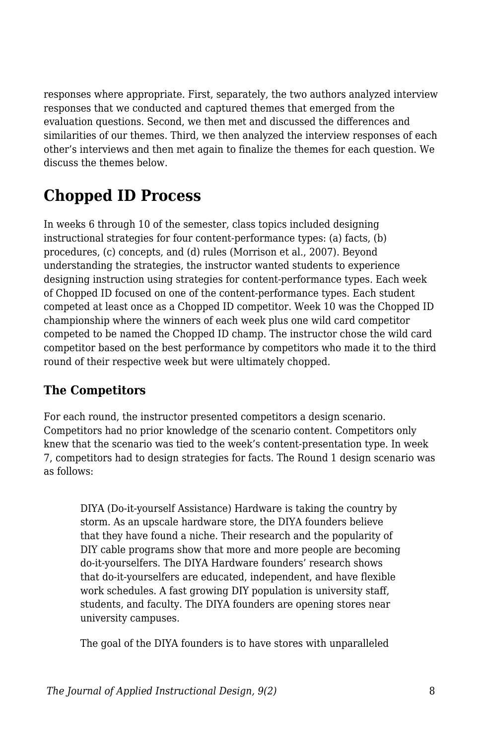responses where appropriate. First, separately, the two authors analyzed interview responses that we conducted and captured themes that emerged from the evaluation questions. Second, we then met and discussed the differences and similarities of our themes. Third, we then analyzed the interview responses of each other's interviews and then met again to finalize the themes for each question. We discuss the themes below.

## **Chopped ID Process**

In weeks 6 through 10 of the semester, class topics included designing instructional strategies for four content-performance types: (a) facts, (b) procedures, (c) concepts, and (d) rules (Morrison et al., 2007). Beyond understanding the strategies, the instructor wanted students to experience designing instruction using strategies for content-performance types. Each week of Chopped ID focused on one of the content-performance types. Each student competed at least once as a Chopped ID competitor. Week 10 was the Chopped ID championship where the winners of each week plus one wild card competitor competed to be named the Chopped ID champ. The instructor chose the wild card competitor based on the best performance by competitors who made it to the third round of their respective week but were ultimately chopped.

#### **The Competitors**

For each round, the instructor presented competitors a design scenario. Competitors had no prior knowledge of the scenario content. Competitors only knew that the scenario was tied to the week's content-presentation type. In week 7, competitors had to design strategies for facts. The Round 1 design scenario was as follows:

DIYA (Do-it-yourself Assistance) Hardware is taking the country by storm. As an upscale hardware store, the DIYA founders believe that they have found a niche. Their research and the popularity of DIY cable programs show that more and more people are becoming do-it-yourselfers. The DIYA Hardware founders' research shows that do-it-yourselfers are educated, independent, and have flexible work schedules. A fast growing DIY population is university staff, students, and faculty. The DIYA founders are opening stores near university campuses.

The goal of the DIYA founders is to have stores with unparalleled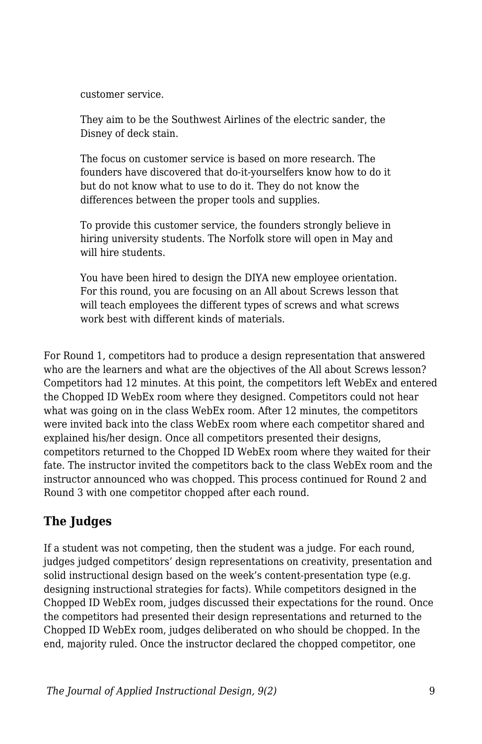customer service.

They aim to be the Southwest Airlines of the electric sander, the Disney of deck stain.

The focus on customer service is based on more research. The founders have discovered that do-it-yourselfers know how to do it but do not know what to use to do it. They do not know the differences between the proper tools and supplies.

To provide this customer service, the founders strongly believe in hiring university students. The Norfolk store will open in May and will hire students.

You have been hired to design the DIYA new employee orientation. For this round, you are focusing on an All about Screws lesson that will teach employees the different types of screws and what screws work best with different kinds of materials.

For Round 1, competitors had to produce a design representation that answered who are the learners and what are the objectives of the All about Screws lesson? Competitors had 12 minutes. At this point, the competitors left WebEx and entered the Chopped ID WebEx room where they designed. Competitors could not hear what was going on in the class WebEx room. After 12 minutes, the competitors were invited back into the class WebEx room where each competitor shared and explained his/her design. Once all competitors presented their designs, competitors returned to the Chopped ID WebEx room where they waited for their fate. The instructor invited the competitors back to the class WebEx room and the instructor announced who was chopped. This process continued for Round 2 and Round 3 with one competitor chopped after each round.

### **The Judges**

If a student was not competing, then the student was a judge. For each round, judges judged competitors' design representations on creativity, presentation and solid instructional design based on the week's content-presentation type (e.g. designing instructional strategies for facts). While competitors designed in the Chopped ID WebEx room, judges discussed their expectations for the round. Once the competitors had presented their design representations and returned to the Chopped ID WebEx room, judges deliberated on who should be chopped. In the end, majority ruled. Once the instructor declared the chopped competitor, one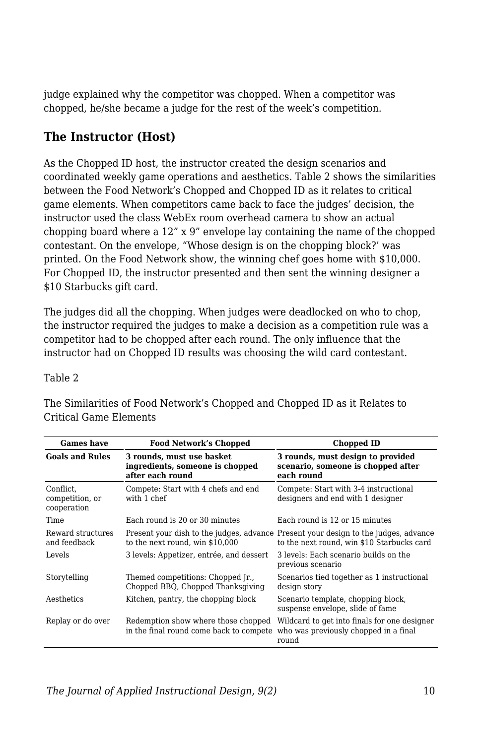judge explained why the competitor was chopped. When a competitor was chopped, he/she became a judge for the rest of the week's competition.

#### **The Instructor (Host)**

As the Chopped ID host, the instructor created the design scenarios and coordinated weekly game operations and aesthetics. Table 2 shows the similarities between the Food Network's Chopped and Chopped ID as it relates to critical game elements. When competitors came back to face the judges' decision, the instructor used the class WebEx room overhead camera to show an actual chopping board where a 12" x 9" envelope lay containing the name of the chopped contestant. On the envelope, "Whose design is on the chopping block?' was printed. On the Food Network show, the winning chef goes home with \$10,000. For Chopped ID, the instructor presented and then sent the winning designer a \$10 Starbucks gift card.

The judges did all the chopping. When judges were deadlocked on who to chop, the instructor required the judges to make a decision as a competition rule was a competitor had to be chopped after each round. The only influence that the instructor had on Chopped ID results was choosing the wild card contestant.

| o<br>۰<br>c. |  |
|--------------|--|
|--------------|--|

| <b>Games have</b>                           | <b>Food Network's Chopped</b>                                                    | Chopped ID                                                                                                                        |
|---------------------------------------------|----------------------------------------------------------------------------------|-----------------------------------------------------------------------------------------------------------------------------------|
| <b>Goals and Rules</b>                      | 3 rounds, must use basket<br>ingredients, someone is chopped<br>after each round | 3 rounds, must design to provided<br>scenario, someone is chopped after<br>each round                                             |
| Conflict.<br>competition, or<br>cooperation | Compete: Start with 4 chefs and end<br>with 1 chef                               | Compete: Start with 3-4 instructional<br>designers and end with 1 designer                                                        |
| Time                                        | Each round is 20 or 30 minutes                                                   | Each round is 12 or 15 minutes                                                                                                    |
| Reward structures<br>and feedback           | to the next round, win \$10,000                                                  | Present your dish to the judges, advance Present your design to the judges, advance<br>to the next round, win \$10 Starbucks card |
| Levels                                      | 3 levels: Appetizer, entrée, and dessert                                         | 3 levels: Each scenario builds on the<br>previous scenario                                                                        |
| Storytelling                                | Themed competitions: Chopped Jr.,<br>Chopped BBQ, Chopped Thanksgiving           | Scenarios tied together as 1 instructional<br>design story                                                                        |
| Aesthetics                                  | Kitchen, pantry, the chopping block                                              | Scenario template, chopping block,<br>suspense envelope, slide of fame                                                            |
| Replay or do over                           | Redemption show where those chopped<br>in the final round come back to compete   | Wildcard to get into finals for one designer<br>who was previously chopped in a final<br>round                                    |

The Similarities of Food Network's Chopped and Chopped ID as it Relates to Critical Game Elements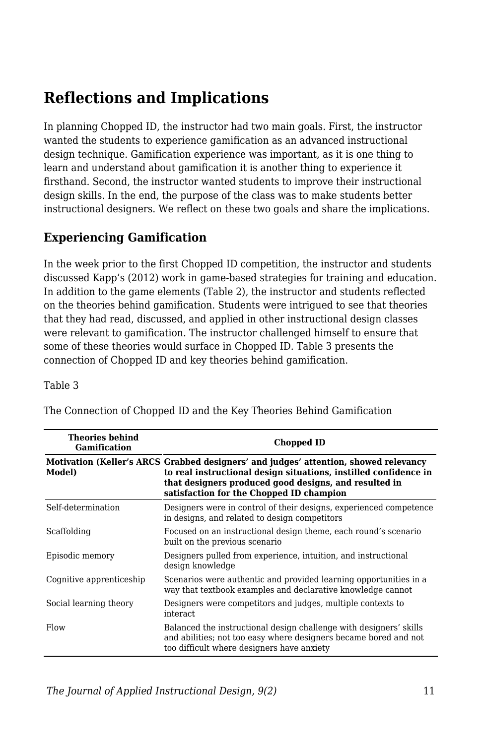## **Reflections and Implications**

In planning Chopped ID, the instructor had two main goals. First, the instructor wanted the students to experience gamification as an advanced instructional design technique. Gamification experience was important, as it is one thing to learn and understand about gamification it is another thing to experience it firsthand. Second, the instructor wanted students to improve their instructional design skills. In the end, the purpose of the class was to make students better instructional designers. We reflect on these two goals and share the implications.

#### **Experiencing Gamification**

In the week prior to the first Chopped ID competition, the instructor and students discussed Kapp's (2012) work in game-based strategies for training and education. In addition to the game elements (Table 2), the instructor and students reflected on the theories behind gamification. Students were intrigued to see that theories that they had read, discussed, and applied in other instructional design classes were relevant to gamification. The instructor challenged himself to ensure that some of these theories would surface in Chopped ID. Table 3 presents the connection of Chopped ID and key theories behind gamification.

#### Table 3

| <b>Theories behind</b><br><b>Gamification</b> | Chopped ID                                                                                                                                                                                                                                                    |  |
|-----------------------------------------------|---------------------------------------------------------------------------------------------------------------------------------------------------------------------------------------------------------------------------------------------------------------|--|
| Model)                                        | Motivation (Keller's ARCS Grabbed designers' and judges' attention, showed relevancy<br>to real instructional design situations, instilled confidence in<br>that designers produced good designs, and resulted in<br>satisfaction for the Chopped ID champion |  |
| Self-determination                            | Designers were in control of their designs, experienced competence<br>in designs, and related to design competitors                                                                                                                                           |  |
| Scaffolding                                   | Focused on an instructional design theme, each round's scenario<br>built on the previous scenario                                                                                                                                                             |  |
| Episodic memory                               | Designers pulled from experience, intuition, and instructional<br>design knowledge                                                                                                                                                                            |  |
| Cognitive apprenticeship                      | Scenarios were authentic and provided learning opportunities in a<br>way that textbook examples and declarative knowledge cannot                                                                                                                              |  |
| Social learning theory                        | Designers were competitors and judges, multiple contexts to<br>interact.                                                                                                                                                                                      |  |
| Flow                                          | Balanced the instructional design challenge with designers' skills<br>and abilities; not too easy where designers became bored and not<br>too difficult where designers have anxiety                                                                          |  |

The Connection of Chopped ID and the Key Theories Behind Gamification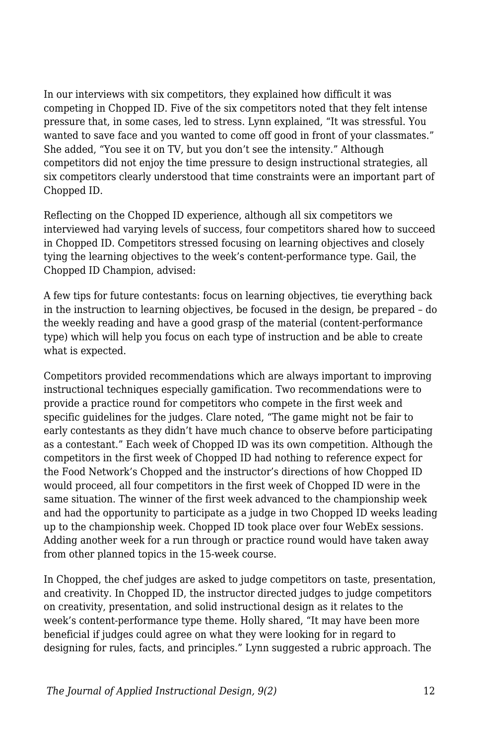In our interviews with six competitors, they explained how difficult it was competing in Chopped ID. Five of the six competitors noted that they felt intense pressure that, in some cases, led to stress. Lynn explained, "It was stressful. You wanted to save face and you wanted to come off good in front of your classmates." She added, "You see it on TV, but you don't see the intensity." Although competitors did not enjoy the time pressure to design instructional strategies, all six competitors clearly understood that time constraints were an important part of Chopped ID.

Reflecting on the Chopped ID experience, although all six competitors we interviewed had varying levels of success, four competitors shared how to succeed in Chopped ID. Competitors stressed focusing on learning objectives and closely tying the learning objectives to the week's content-performance type. Gail, the Chopped ID Champion, advised:

A few tips for future contestants: focus on learning objectives, tie everything back in the instruction to learning objectives, be focused in the design, be prepared – do the weekly reading and have a good grasp of the material (content-performance type) which will help you focus on each type of instruction and be able to create what is expected.

Competitors provided recommendations which are always important to improving instructional techniques especially gamification. Two recommendations were to provide a practice round for competitors who compete in the first week and specific guidelines for the judges. Clare noted, "The game might not be fair to early contestants as they didn't have much chance to observe before participating as a contestant." Each week of Chopped ID was its own competition. Although the competitors in the first week of Chopped ID had nothing to reference expect for the Food Network's Chopped and the instructor's directions of how Chopped ID would proceed, all four competitors in the first week of Chopped ID were in the same situation. The winner of the first week advanced to the championship week and had the opportunity to participate as a judge in two Chopped ID weeks leading up to the championship week. Chopped ID took place over four WebEx sessions. Adding another week for a run through or practice round would have taken away from other planned topics in the 15-week course.

In Chopped, the chef judges are asked to judge competitors on taste, presentation, and creativity. In Chopped ID, the instructor directed judges to judge competitors on creativity, presentation, and solid instructional design as it relates to the week's content-performance type theme. Holly shared, "It may have been more beneficial if judges could agree on what they were looking for in regard to designing for rules, facts, and principles." Lynn suggested a rubric approach. The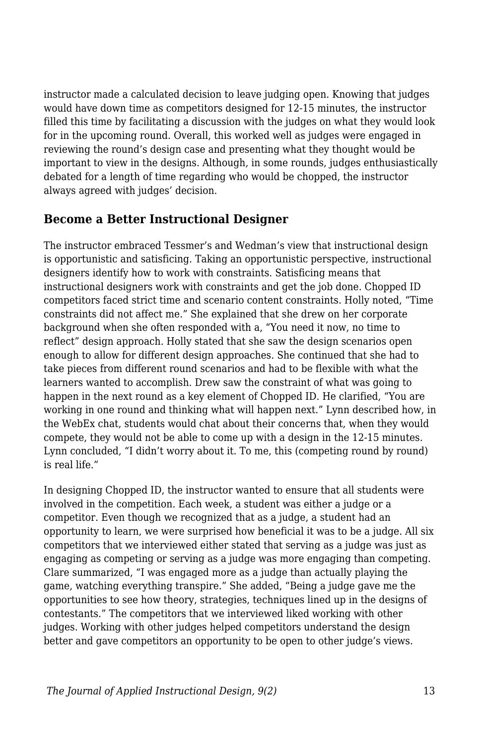instructor made a calculated decision to leave judging open. Knowing that judges would have down time as competitors designed for 12-15 minutes, the instructor filled this time by facilitating a discussion with the judges on what they would look for in the upcoming round. Overall, this worked well as judges were engaged in reviewing the round's design case and presenting what they thought would be important to view in the designs. Although, in some rounds, judges enthusiastically debated for a length of time regarding who would be chopped, the instructor always agreed with judges' decision.

#### **Become a Better Instructional Designer**

The instructor embraced Tessmer's and Wedman's view that instructional design is opportunistic and satisficing. Taking an opportunistic perspective, instructional designers identify how to work with constraints. Satisficing means that instructional designers work with constraints and get the job done. Chopped ID competitors faced strict time and scenario content constraints. Holly noted, "Time constraints did not affect me." She explained that she drew on her corporate background when she often responded with a, "You need it now, no time to reflect" design approach. Holly stated that she saw the design scenarios open enough to allow for different design approaches. She continued that she had to take pieces from different round scenarios and had to be flexible with what the learners wanted to accomplish. Drew saw the constraint of what was going to happen in the next round as a key element of Chopped ID. He clarified, "You are working in one round and thinking what will happen next." Lynn described how, in the WebEx chat, students would chat about their concerns that, when they would compete, they would not be able to come up with a design in the 12-15 minutes. Lynn concluded, "I didn't worry about it. To me, this (competing round by round) is real life."

In designing Chopped ID, the instructor wanted to ensure that all students were involved in the competition. Each week, a student was either a judge or a competitor. Even though we recognized that as a judge, a student had an opportunity to learn, we were surprised how beneficial it was to be a judge. All six competitors that we interviewed either stated that serving as a judge was just as engaging as competing or serving as a judge was more engaging than competing. Clare summarized, "I was engaged more as a judge than actually playing the game, watching everything transpire." She added, "Being a judge gave me the opportunities to see how theory, strategies, techniques lined up in the designs of contestants." The competitors that we interviewed liked working with other judges. Working with other judges helped competitors understand the design better and gave competitors an opportunity to be open to other judge's views.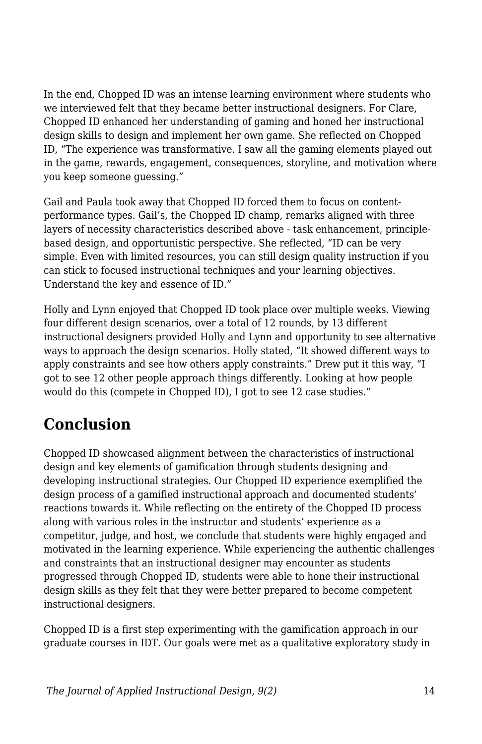In the end, Chopped ID was an intense learning environment where students who we interviewed felt that they became better instructional designers. For Clare, Chopped ID enhanced her understanding of gaming and honed her instructional design skills to design and implement her own game. She reflected on Chopped ID, "The experience was transformative. I saw all the gaming elements played out in the game, rewards, engagement, consequences, storyline, and motivation where you keep someone guessing."

Gail and Paula took away that Chopped ID forced them to focus on contentperformance types. Gail's, the Chopped ID champ, remarks aligned with three layers of necessity characteristics described above - task enhancement, principlebased design, and opportunistic perspective. She reflected, "ID can be very simple. Even with limited resources, you can still design quality instruction if you can stick to focused instructional techniques and your learning objectives. Understand the key and essence of ID."

Holly and Lynn enjoyed that Chopped ID took place over multiple weeks. Viewing four different design scenarios, over a total of 12 rounds, by 13 different instructional designers provided Holly and Lynn and opportunity to see alternative ways to approach the design scenarios. Holly stated, "It showed different ways to apply constraints and see how others apply constraints." Drew put it this way, "I got to see 12 other people approach things differently. Looking at how people would do this (compete in Chopped ID), I got to see 12 case studies."

### **Conclusion**

Chopped ID showcased alignment between the characteristics of instructional design and key elements of gamification through students designing and developing instructional strategies. Our Chopped ID experience exemplified the design process of a gamified instructional approach and documented students' reactions towards it. While reflecting on the entirety of the Chopped ID process along with various roles in the instructor and students' experience as a competitor, judge, and host, we conclude that students were highly engaged and motivated in the learning experience. While experiencing the authentic challenges and constraints that an instructional designer may encounter as students progressed through Chopped ID, students were able to hone their instructional design skills as they felt that they were better prepared to become competent instructional designers.

Chopped ID is a first step experimenting with the gamification approach in our graduate courses in IDT. Our goals were met as a qualitative exploratory study in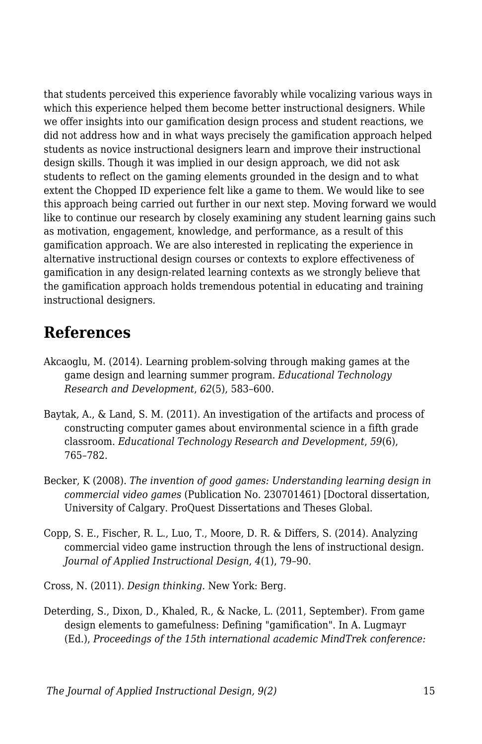that students perceived this experience favorably while vocalizing various ways in which this experience helped them become better instructional designers. While we offer insights into our gamification design process and student reactions, we did not address how and in what ways precisely the gamification approach helped students as novice instructional designers learn and improve their instructional design skills. Though it was implied in our design approach, we did not ask students to reflect on the gaming elements grounded in the design and to what extent the Chopped ID experience felt like a game to them. We would like to see this approach being carried out further in our next step. Moving forward we would like to continue our research by closely examining any student learning gains such as motivation, engagement, knowledge, and performance, as a result of this gamification approach. We are also interested in replicating the experience in alternative instructional design courses or contexts to explore effectiveness of gamification in any design-related learning contexts as we strongly believe that the gamification approach holds tremendous potential in educating and training instructional designers.

### **References**

- Akcaoglu, M. (2014). Learning problem-solving through making games at the game design and learning summer program. *Educational Technology Research and Development*, *62*(5), 583–600.
- Baytak, A., & Land, S. M. (2011). An investigation of the artifacts and process of constructing computer games about environmental science in a fifth grade classroom. *Educational Technology Research and Development*, *59*(6), 765–782.
- Becker, K (2008). *The invention of good games: Understanding learning design in commercial video games* (Publication No. 230701461) [Doctoral dissertation, University of Calgary. ProQuest Dissertations and Theses Global.
- Copp, S. E., Fischer, R. L., Luo, T., Moore, D. R. & Differs, S. (2014). Analyzing commercial video game instruction through the lens of instructional design. *Journal of Applied Instructional Design*, *4*(1), 79–90.
- Cross, N. (2011). *Design thinking*. New York: Berg.
- Deterding, S., Dixon, D., Khaled, R., & Nacke, L. (2011, September). From game design elements to gamefulness: Defining "gamification". In A. Lugmayr (Ed.), *Proceedings of the 15th international academic MindTrek conference:*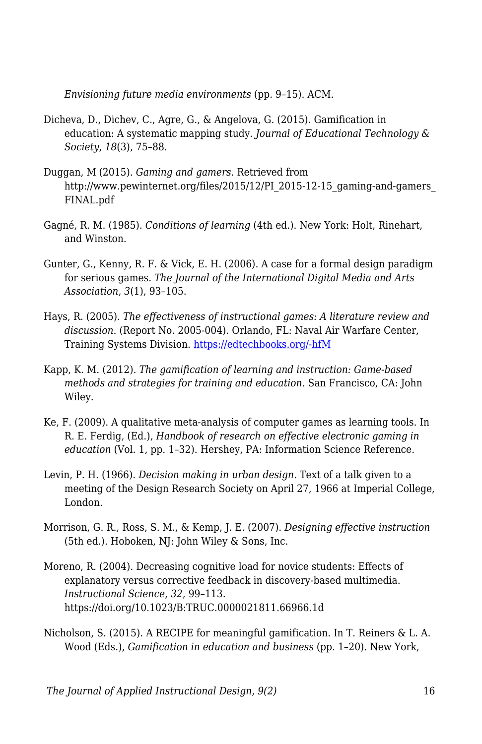*Envisioning future media environments* (pp. 9–15). ACM.

- Dicheva, D., Dichev, C., Agre, G., & Angelova, G. (2015). Gamification in education: A systematic mapping study. *Journal of Educational Technology & Society*, *18*(3), 75–88.
- Duggan, M (2015). *Gaming and gamers*. Retrieved from http://www.pewinternet.org/files/2015/12/PI\_2015-12-15\_gaming-and-gamers\_ FINAL.pdf
- Gagné, R. M. (1985). *Conditions of learning* (4th ed.). New York: Holt, Rinehart, and Winston.
- Gunter, G., Kenny, R. F. & Vick, E. H. (2006). A case for a formal design paradigm for serious games. *The Journal of the International Digital Media and Arts Association*, *3*(1), 93–105.
- Hays, R. (2005). *The effectiveness of instructional games: A literature review and discussion*. (Report No. 2005-004). Orlando, FL: Naval Air Warfare Center, Training Systems Division. [https://edtechbooks.org/-hfM](http://faculty.uoit.ca/kapralos/csci5530/Papers/hays_instructionalGames.pdf)
- Kapp, K. M. (2012). *The gamification of learning and instruction: Game-based methods and strategies for training and education*. San Francisco, CA: John Wiley.
- Ke, F. (2009). A qualitative meta-analysis of computer games as learning tools. In R. E. Ferdig, (Ed.), *Handbook of research on effective electronic gaming in education* (Vol. 1, pp. 1–32). Hershey, PA: Information Science Reference.
- Levin, P. H. (1966). *Decision making in urban design*. Text of a talk given to a meeting of the Design Research Society on April 27, 1966 at Imperial College, London.
- Morrison, G. R., Ross, S. M., & Kemp, J. E. (2007). *Designing effective instruction* (5th ed.). Hoboken, NJ: John Wiley & Sons, Inc.
- Moreno, R. (2004). Decreasing cognitive load for novice students: Effects of explanatory versus corrective feedback in discovery-based multimedia. *Instructional Science*, *32*, 99–113. https://doi.org/10.1023/B:TRUC.0000021811.66966.1d
- Nicholson, S. (2015). A RECIPE for meaningful gamification. In T. Reiners & L. A. Wood (Eds.), *Gamification in education and business* (pp. 1–20). New York,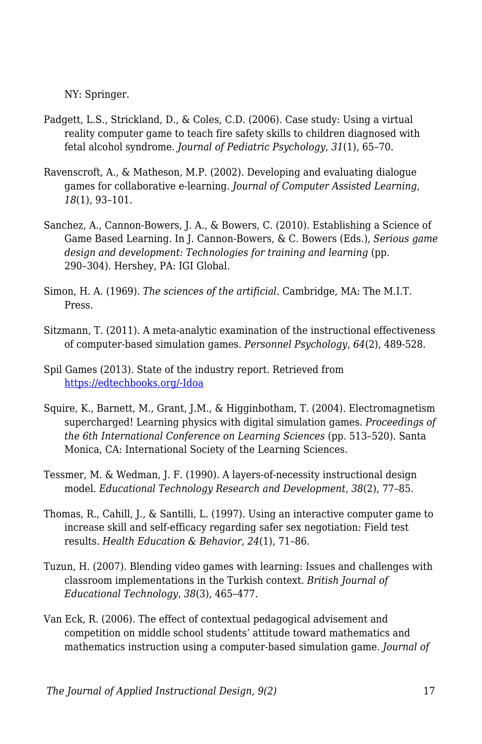NY: Springer.

- Padgett, L.S., Strickland, D., & Coles, C.D. (2006). Case study: Using a virtual reality computer game to teach fire safety skills to children diagnosed with fetal alcohol syndrome. *Journal of Pediatric Psychology*, *31*(1), 65–70.
- Ravenscroft, A., & Matheson, M.P. (2002). Developing and evaluating dialogue games for collaborative e-learning. *Journal of Computer Assisted Learning*, *18*(1), 93–101.
- Sanchez, A., Cannon-Bowers, J. A., & Bowers, C. (2010). Establishing a Science of Game Based Learning. In J. Cannon-Bowers, & C. Bowers (Eds.), *Serious game design and development: Technologies for training and learning* (pp. 290–304). Hershey, PA: IGI Global.
- Simon, H. A. (1969). *The sciences of the artificial*. Cambridge, MA: The M.I.T. Press.
- Sitzmann, T. (2011). A meta-analytic examination of the instructional effectiveness of computer-based simulation games. *Personnel Psychology*, *64*(2), 489-528.
- Spil Games (2013). State of the industry report. Retrieved from [https://edtechbooks.org/-Idoa](http://auth-83051f68-ec6c-44e0-afe58902acff57.cdn.spilcloud.com/v1/archives/1384952861.25_State_of_Gaming_2013_US_FINAL.pdf)
- Squire, K., Barnett, M., Grant, J.M., & Higginbotham, T. (2004). Electromagnetism supercharged! Learning physics with digital simulation games. *Proceedings of the 6th International Conference on Learning Sciences* (pp. 513–520). Santa Monica, CA: International Society of the Learning Sciences.
- Tessmer, M. & Wedman, J. F. (1990). A layers-of-necessity instructional design model. *Educational Technology Research and Development*, *38*(2), 77–85.
- Thomas, R., Cahill, J., & Santilli, L. (1997). Using an interactive computer game to increase skill and self-efficacy regarding safer sex negotiation: Field test results. *Health Education & Behavior, 24*(1), 71–86.
- Tuzun, H. (2007). Blending video games with learning: Issues and challenges with classroom implementations in the Turkish context. *British Journal of Educational Technology*, *38*(3), 465–477.
- Van Eck, R. (2006). The effect of contextual pedagogical advisement and competition on middle school students' attitude toward mathematics and mathematics instruction using a computer-based simulation game. *Journal of*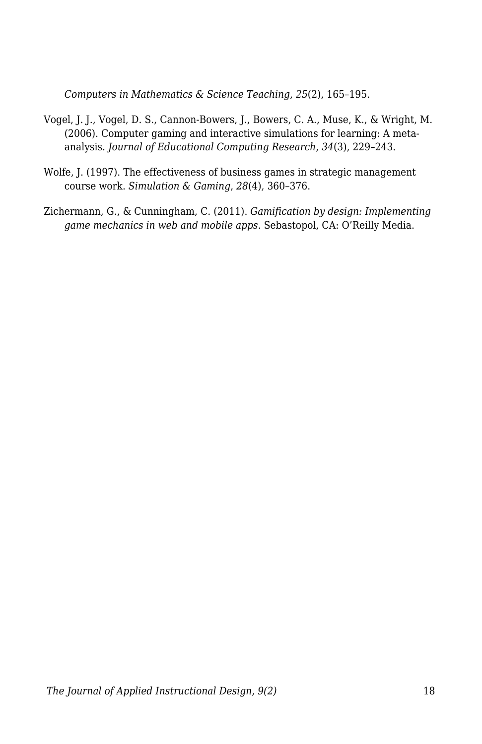*Computers in Mathematics & Science Teaching*, *25*(2), 165–195.

- Vogel, J. J., Vogel, D. S., Cannon-Bowers, J., Bowers, C. A., Muse, K., & Wright, M. (2006). Computer gaming and interactive simulations for learning: A metaanalysis. *Journal of Educational Computing Research*, *34*(3), 229–243.
- Wolfe, J. (1997). The effectiveness of business games in strategic management course work. *Simulation & Gaming*, *28*(4), 360–376.
- Zichermann, G., & Cunningham, C. (2011). *Gamification by design: Implementing game mechanics in web and mobile apps*. Sebastopol, CA: O'Reilly Media.